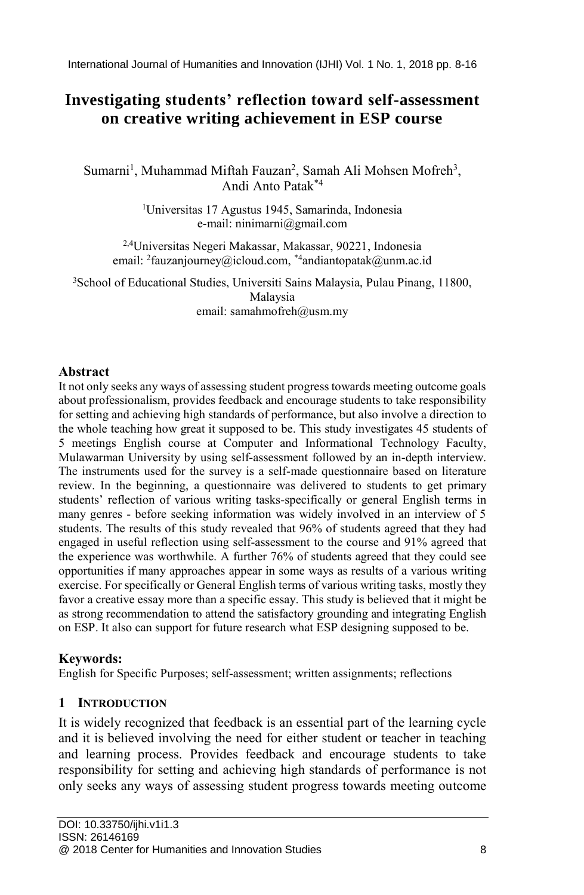International Journal of Humanities and Innovation (IJHI) Vol. 1 No. 1, 2018 pp. 8-16

# **Investigating students' reflection toward self-assessment on creative writing achievement in ESP course**

Sumarni<sup>1</sup>, Muhammad Miftah Fauzan<sup>2</sup>, Samah Ali Mohsen Mofreh<sup>3</sup>, Andi Anto Patak\*4

> <sup>1</sup>Universitas 17 Agustus 1945, Samarinda, Indonesia e-mail: ninimarni@gmail.com

2,4Universitas Negeri Makassar, Makassar, 90221, Indonesia email: <sup>2</sup> fauzanjourney@icloud.com, \*4 andiantopatak@unm.ac.id

<sup>3</sup>School of Educational Studies, Universiti Sains Malaysia, Pulau Pinang, 11800, Malaysia email: samahmofreh@usm.my

### **Abstract**

It not only seeks any ways of assessing student progress towards meeting outcome goals about professionalism, provides feedback and encourage students to take responsibility for setting and achieving high standards of performance, but also involve a direction to the whole teaching how great it supposed to be. This study investigates 45 students of 5 meetings English course at Computer and Informational Technology Faculty, Mulawarman University by using self-assessment followed by an in-depth interview. The instruments used for the survey is a self-made questionnaire based on literature review. In the beginning, a questionnaire was delivered to students to get primary students' reflection of various writing tasks-specifically or general English terms in many genres - before seeking information was widely involved in an interview of 5 students. The results of this study revealed that 96% of students agreed that they had engaged in useful reflection using self-assessment to the course and 91% agreed that the experience was worthwhile. A further 76% of students agreed that they could see opportunities if many approaches appear in some ways as results of a various writing exercise. For specifically or General English terms of various writing tasks, mostly they favor a creative essay more than a specific essay. This study is believed that it might be as strong recommendation to attend the satisfactory grounding and integrating English on ESP. It also can support for future research what ESP designing supposed to be.

#### **Keywords:**

English for Specific Purposes; self-assessment; written assignments; reflections

# **1 INTRODUCTION**

It is widely recognized that feedback is an essential part of the learning cycle and it is believed involving the need for either student or teacher in teaching and learning process. Provides feedback and encourage students to take responsibility for setting and achieving high standards of performance is not only seeks any ways of assessing student progress towards meeting outcome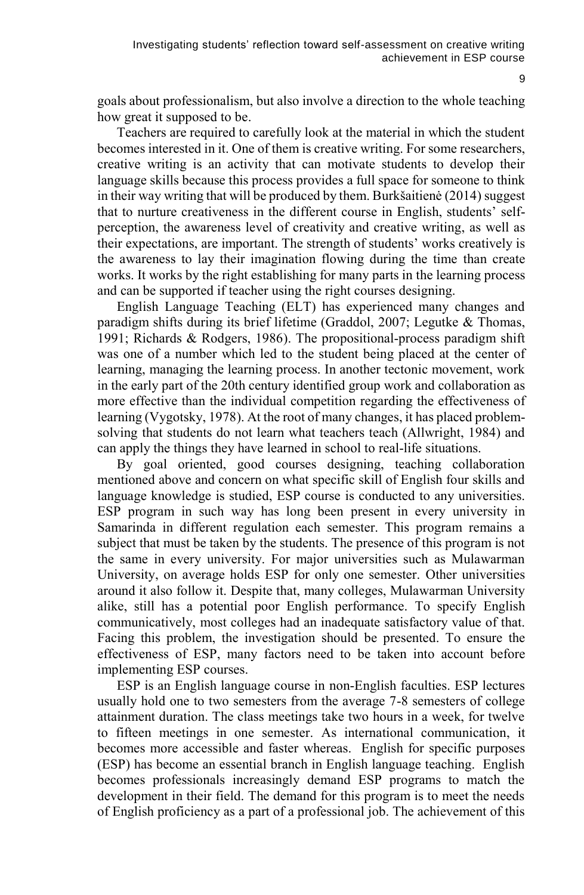goals about professionalism, but also involve a direction to the whole teaching how great it supposed to be.

Teachers are required to carefully look at the material in which the student becomes interested in it. One of them is creative writing. For some researchers, creative writing is an activity that can motivate students to develop their language skills because this process provides a full space for someone to think in their way writing that will be produced by them. Burkšaitienė (2014) suggest that to nurture creativeness in the different course in English, students' selfperception, the awareness level of creativity and creative writing, as well as their expectations, are important. The strength of students' works creatively is the awareness to lay their imagination flowing during the time than create works. It works by the right establishing for many parts in the learning process and can be supported if teacher using the right courses designing.

English Language Teaching (ELT) has experienced many changes and paradigm shifts during its brief lifetime (Graddol, 2007; Legutke & Thomas, 1991; Richards & Rodgers, 1986). The propositional-process paradigm shift was one of a number which led to the student being placed at the center of learning, managing the learning process. In another tectonic movement, work in the early part of the 20th century identified group work and collaboration as more effective than the individual competition regarding the effectiveness of learning (Vygotsky, 1978). At the root of many changes, it has placed problemsolving that students do not learn what teachers teach (Allwright, 1984) and can apply the things they have learned in school to real-life situations.

By goal oriented, good courses designing, teaching collaboration mentioned above and concern on what specific skill of English four skills and language knowledge is studied, ESP course is conducted to any universities. ESP program in such way has long been present in every university in Samarinda in different regulation each semester. This program remains a subject that must be taken by the students. The presence of this program is not the same in every university. For major universities such as Mulawarman University, on average holds ESP for only one semester. Other universities around it also follow it. Despite that, many colleges, Mulawarman University alike, still has a potential poor English performance. To specify English communicatively, most colleges had an inadequate satisfactory value of that. Facing this problem, the investigation should be presented. To ensure the effectiveness of ESP, many factors need to be taken into account before implementing ESP courses.

ESP is an English language course in non-English faculties. ESP lectures usually hold one to two semesters from the average 7-8 semesters of college attainment duration. The class meetings take two hours in a week, for twelve to fifteen meetings in one semester. As international communication, it becomes more accessible and faster whereas. English for specific purposes (ESP) has become an essential branch in English language teaching. English becomes professionals increasingly demand ESP programs to match the development in their field. The demand for this program is to meet the needs of English proficiency as a part of a professional job. The achievement of this

 $\alpha$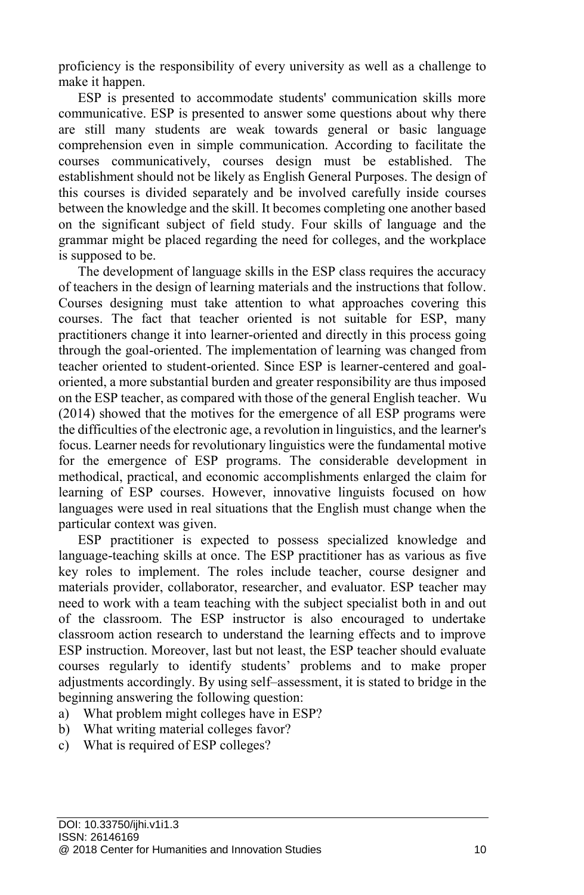proficiency is the responsibility of every university as well as a challenge to make it happen.

ESP is presented to accommodate students' communication skills more communicative. ESP is presented to answer some questions about why there are still many students are weak towards general or basic language comprehension even in simple communication. According to facilitate the courses communicatively, courses design must be established. The establishment should not be likely as English General Purposes. The design of this courses is divided separately and be involved carefully inside courses between the knowledge and the skill. It becomes completing one another based on the significant subject of field study. Four skills of language and the grammar might be placed regarding the need for colleges, and the workplace is supposed to be.

The development of language skills in the ESP class requires the accuracy of teachers in the design of learning materials and the instructions that follow. Courses designing must take attention to what approaches covering this courses. The fact that teacher oriented is not suitable for ESP, many practitioners change it into learner-oriented and directly in this process going through the goal-oriented. The implementation of learning was changed from teacher oriented to student-oriented. Since ESP is learner-centered and goaloriented, a more substantial burden and greater responsibility are thus imposed on the ESP teacher, as compared with those of the general English teacher. Wu (2014) showed that the motives for the emergence of all ESP programs were the difficulties of the electronic age, a revolution in linguistics, and the learner's focus. Learner needs for revolutionary linguistics were the fundamental motive for the emergence of ESP programs. The considerable development in methodical, practical, and economic accomplishments enlarged the claim for learning of ESP courses. However, innovative linguists focused on how languages were used in real situations that the English must change when the particular context was given.

ESP practitioner is expected to possess specialized knowledge and language-teaching skills at once. The ESP practitioner has as various as five key roles to implement. The roles include teacher, course designer and materials provider, collaborator, researcher, and evaluator. ESP teacher may need to work with a team teaching with the subject specialist both in and out of the classroom. The ESP instructor is also encouraged to undertake classroom action research to understand the learning effects and to improve ESP instruction. Moreover, last but not least, the ESP teacher should evaluate courses regularly to identify students' problems and to make proper adjustments accordingly. By using self–assessment, it is stated to bridge in the beginning answering the following question:

- a) What problem might colleges have in ESP?
- b) What writing material colleges favor?
- c) What is required of ESP colleges?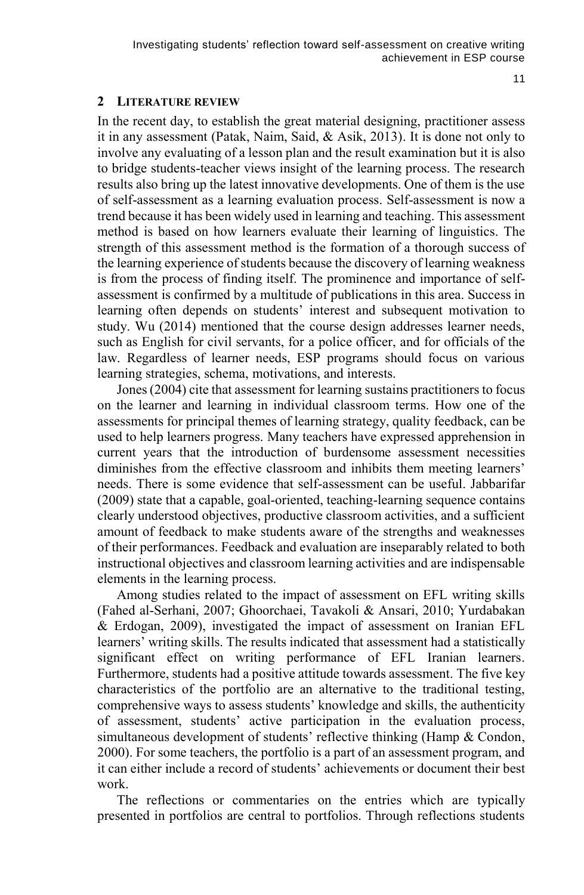11

#### **2 LITERATURE REVIEW**

In the recent day, to establish the great material designing, practitioner assess it in any assessment (Patak, Naim, Said, & Asik, 2013). It is done not only to involve any evaluating of a lesson plan and the result examination but it is also to bridge students-teacher views insight of the learning process. The research results also bring up the latest innovative developments. One of them is the use of self-assessment as a learning evaluation process. Self-assessment is now a trend because it has been widely used in learning and teaching. This assessment method is based on how learners evaluate their learning of linguistics. The strength of this assessment method is the formation of a thorough success of the learning experience of students because the discovery of learning weakness is from the process of finding itself. The prominence and importance of selfassessment is confirmed by a multitude of publications in this area. Success in learning often depends on students' interest and subsequent motivation to study. Wu (2014) mentioned that the course design addresses learner needs, such as English for civil servants, for a police officer, and for officials of the law. Regardless of learner needs, ESP programs should focus on various learning strategies, schema, motivations, and interests.

Jones (2004) cite that assessment for learning sustains practitioners to focus on the learner and learning in individual classroom terms. How one of the assessments for principal themes of learning strategy, quality feedback, can be used to help learners progress. Many teachers have expressed apprehension in current years that the introduction of burdensome assessment necessities diminishes from the effective classroom and inhibits them meeting learners' needs. There is some evidence that self-assessment can be useful. Jabbarifar (2009) state that a capable, goal-oriented, teaching-learning sequence contains clearly understood objectives, productive classroom activities, and a sufficient amount of feedback to make students aware of the strengths and weaknesses of their performances. Feedback and evaluation are inseparably related to both instructional objectives and classroom learning activities and are indispensable elements in the learning process.

Among studies related to the impact of assessment on EFL writing skills (Fahed al-Serhani, 2007; Ghoorchaei, Tavakoli & Ansari, 2010; Yurdabakan & Erdogan, 2009), investigated the impact of assessment on Iranian EFL learners' writing skills. The results indicated that assessment had a statistically significant effect on writing performance of EFL Iranian learners. Furthermore, students had a positive attitude towards assessment. The five key characteristics of the portfolio are an alternative to the traditional testing, comprehensive ways to assess students' knowledge and skills, the authenticity of assessment, students' active participation in the evaluation process, simultaneous development of students' reflective thinking (Hamp & Condon, 2000). For some teachers, the portfolio is a part of an assessment program, and it can either include a record of students' achievements or document their best work.

The reflections or commentaries on the entries which are typically presented in portfolios are central to portfolios. Through reflections students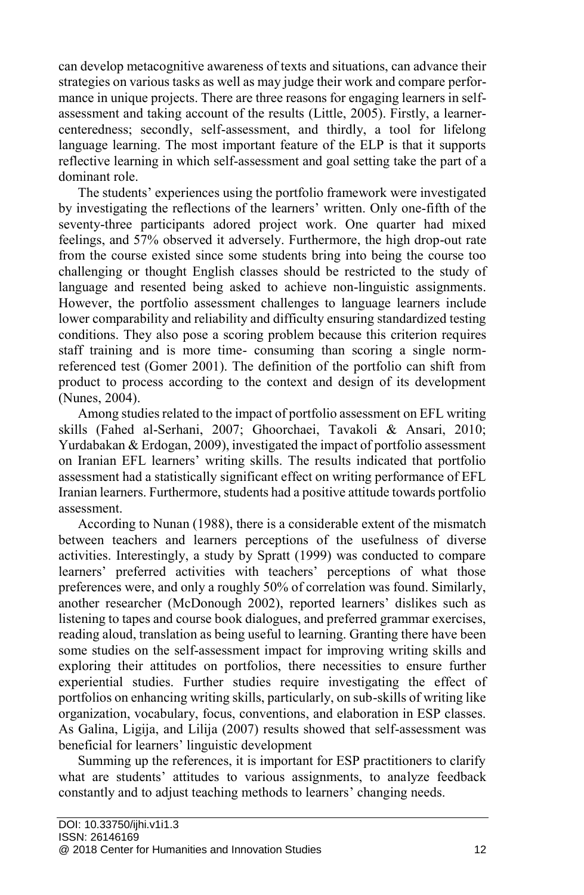can develop metacognitive awareness of texts and situations, can advance their strategies on various tasks as well as may judge their work and compare performance in unique projects. There are three reasons for engaging learners in selfassessment and taking account of the results (Little, 2005). Firstly, a learnercenteredness; secondly, self-assessment, and thirdly, a tool for lifelong language learning. The most important feature of the ELP is that it supports reflective learning in which self-assessment and goal setting take the part of a dominant role.

The students' experiences using the portfolio framework were investigated by investigating the reflections of the learners' written. Only one-fifth of the seventy-three participants adored project work. One quarter had mixed feelings, and 57% observed it adversely. Furthermore, the high drop-out rate from the course existed since some students bring into being the course too challenging or thought English classes should be restricted to the study of language and resented being asked to achieve non-linguistic assignments. However, the portfolio assessment challenges to language learners include lower comparability and reliability and difficulty ensuring standardized testing conditions. They also pose a scoring problem because this criterion requires staff training and is more time- consuming than scoring a single normreferenced test (Gomer 2001). The definition of the portfolio can shift from product to process according to the context and design of its development (Nunes, 2004).

Among studies related to the impact of portfolio assessment on EFL writing skills (Fahed al-Serhani, 2007; Ghoorchaei, Tavakoli & Ansari, 2010; Yurdabakan & Erdogan, 2009), investigated the impact of portfolio assessment on Iranian EFL learners' writing skills. The results indicated that portfolio assessment had a statistically significant effect on writing performance of EFL Iranian learners. Furthermore, students had a positive attitude towards portfolio assessment.

According to Nunan (1988), there is a considerable extent of the mismatch between teachers and learners perceptions of the usefulness of diverse activities. Interestingly, a study by Spratt (1999) was conducted to compare learners' preferred activities with teachers' perceptions of what those preferences were, and only a roughly 50% of correlation was found. Similarly, another researcher (McDonough 2002), reported learners' dislikes such as listening to tapes and course book dialogues, and preferred grammar exercises, reading aloud, translation as being useful to learning. Granting there have been some studies on the self-assessment impact for improving writing skills and exploring their attitudes on portfolios, there necessities to ensure further experiential studies. Further studies require investigating the effect of portfolios on enhancing writing skills, particularly, on sub-skills of writing like organization, vocabulary, focus, conventions, and elaboration in ESP classes. As Galina, Ligija, and Lilija (2007) results showed that self-assessment was beneficial for learners' linguistic development

Summing up the references, it is important for ESP practitioners to clarify what are students' attitudes to various assignments, to analyze feedback constantly and to adjust teaching methods to learners' changing needs.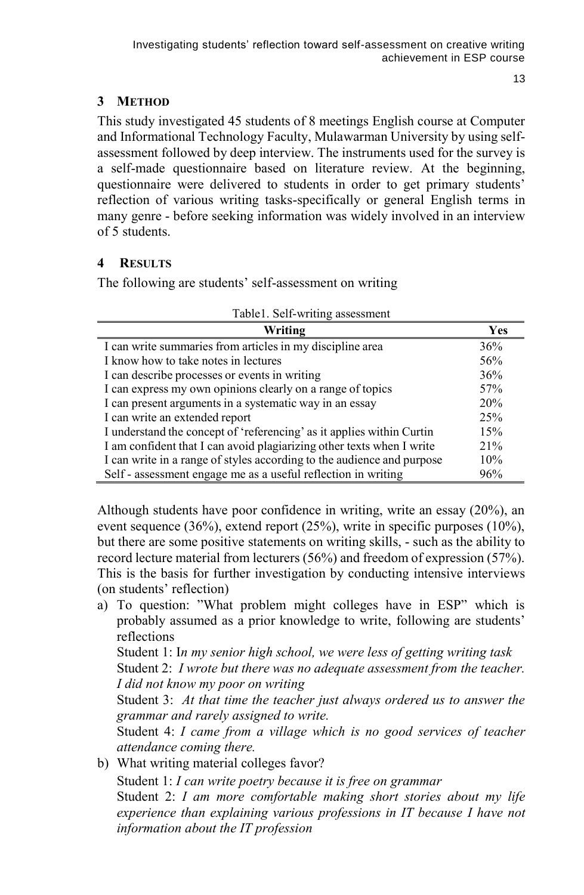13

# **3 METHOD**

This study investigated 45 students of 8 meetings English course at Computer and Informational Technology Faculty, Mulawarman University by using selfassessment followed by deep interview. The instruments used for the survey is a self-made questionnaire based on literature review. At the beginning, questionnaire were delivered to students in order to get primary students' reflection of various writing tasks-specifically or general English terms in many genre - before seeking information was widely involved in an interview of 5 students.

# **4 RESULTS**

The following are students' self-assessment on writing

| Writing                                                                | Yes |
|------------------------------------------------------------------------|-----|
| I can write summaries from articles in my discipline area              | 36% |
| I know how to take notes in lectures                                   | 56% |
| I can describe processes or events in writing                          | 36% |
| I can express my own opinions clearly on a range of topics             | 57% |
| I can present arguments in a systematic way in an essay                | 20% |
| I can write an extended report                                         | 25% |
| I understand the concept of 'referencing' as it applies within Curtin  | 15% |
| I am confident that I can avoid plagiarizing other texts when I write  | 21% |
| I can write in a range of styles according to the audience and purpose | 10% |
| Self - assessment engage me as a useful reflection in writing          | 96% |

Although students have poor confidence in writing, write an essay (20%), an event sequence (36%), extend report (25%), write in specific purposes (10%), but there are some positive statements on writing skills, - such as the ability to record lecture material from lecturers (56%) and freedom of expression (57%). This is the basis for further investigation by conducting intensive interviews (on students' reflection)

a) To question: "What problem might colleges have in ESP" which is probably assumed as a prior knowledge to write, following are students' reflections

Student 1: I*n my senior high school, we were less of getting writing task* Student 2: *I wrote but there was no adequate assessment from the teacher. I did not know my poor on writing*

Student 3: *At that time the teacher just always ordered us to answer the grammar and rarely assigned to write.*

Student 4: *I came from a village which is no good services of teacher attendance coming there.*

b) What writing material colleges favor?

Student 1: *I can write poetry because it is free on grammar* Student 2: *I am more comfortable making short stories about my life experience than explaining various professions in IT because I have not information about the IT profession*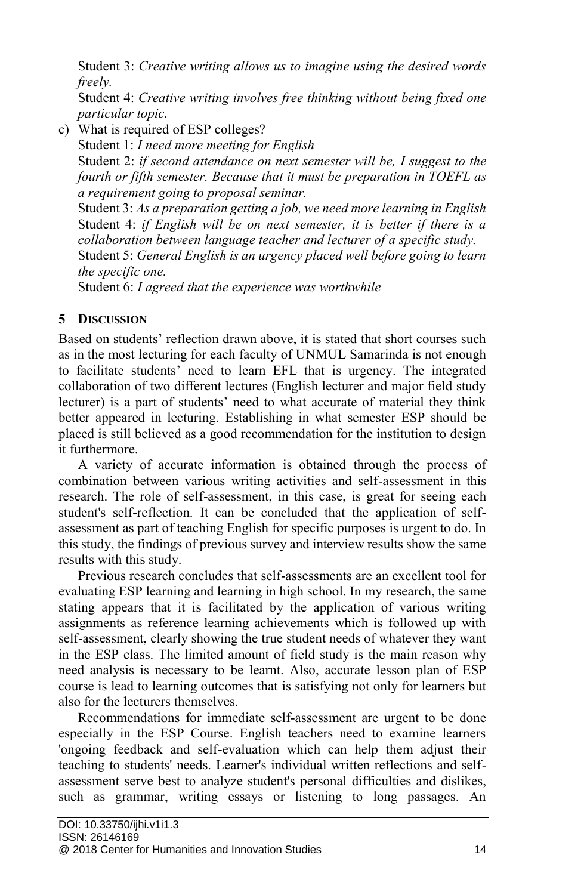Student 3: *Creative writing allows us to imagine using the desired words freely.*

Student 4: *Creative writing involves free thinking without being fixed one particular topic.*

c) What is required of ESP colleges?

Student 1: *I need more meeting for English*

Student 2: *if second attendance on next semester will be, I suggest to the fourth or fifth semester. Because that it must be preparation in TOEFL as a requirement going to proposal seminar.*

Student 3: *As a preparation getting a job, we need more learning in English*  Student 4: *if English will be on next semester, it is better if there is a collaboration between language teacher and lecturer of a specific study.* Student 5: *General English is an urgency placed well before going to learn the specific one.*

Student 6: *I agreed that the experience was worthwhile*

# **5 DISCUSSION**

Based on students' reflection drawn above, it is stated that short courses such as in the most lecturing for each faculty of UNMUL Samarinda is not enough to facilitate students' need to learn EFL that is urgency. The integrated collaboration of two different lectures (English lecturer and major field study lecturer) is a part of students' need to what accurate of material they think better appeared in lecturing. Establishing in what semester ESP should be placed is still believed as a good recommendation for the institution to design it furthermore.

A variety of accurate information is obtained through the process of combination between various writing activities and self-assessment in this research. The role of self-assessment, in this case, is great for seeing each student's self-reflection. It can be concluded that the application of selfassessment as part of teaching English for specific purposes is urgent to do. In this study, the findings of previous survey and interview results show the same results with this study.

Previous research concludes that self-assessments are an excellent tool for evaluating ESP learning and learning in high school. In my research, the same stating appears that it is facilitated by the application of various writing assignments as reference learning achievements which is followed up with self-assessment, clearly showing the true student needs of whatever they want in the ESP class. The limited amount of field study is the main reason why need analysis is necessary to be learnt. Also, accurate lesson plan of ESP course is lead to learning outcomes that is satisfying not only for learners but also for the lecturers themselves.

Recommendations for immediate self-assessment are urgent to be done especially in the ESP Course. English teachers need to examine learners 'ongoing feedback and self-evaluation which can help them adjust their teaching to students' needs. Learner's individual written reflections and selfassessment serve best to analyze student's personal difficulties and dislikes, such as grammar, writing essays or listening to long passages. An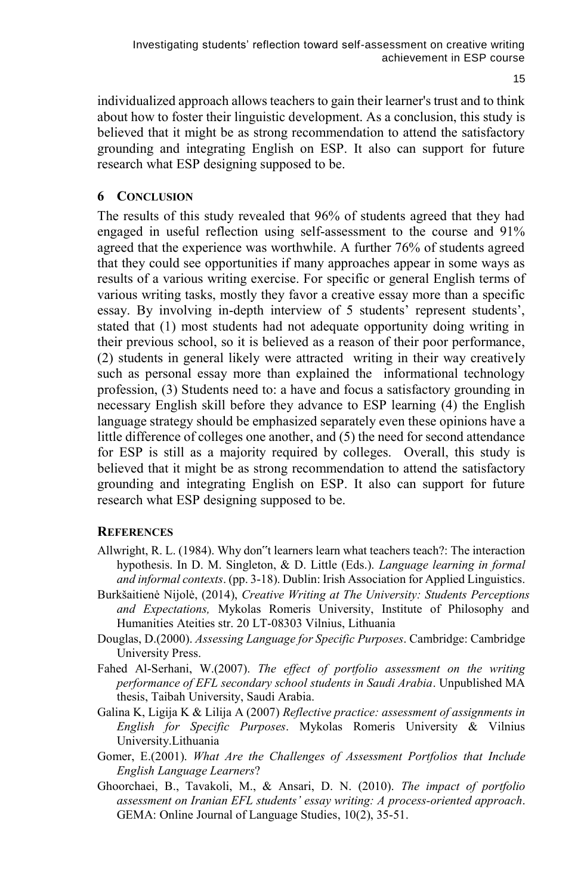individualized approach allows teachers to gain their learner's trust and to think about how to foster their linguistic development. As a conclusion, this study is believed that it might be as strong recommendation to attend the satisfactory grounding and integrating English on ESP. It also can support for future research what ESP designing supposed to be.

### **6 CONCLUSION**

The results of this study revealed that 96% of students agreed that they had engaged in useful reflection using self-assessment to the course and 91% agreed that the experience was worthwhile. A further 76% of students agreed that they could see opportunities if many approaches appear in some ways as results of a various writing exercise. For specific or general English terms of various writing tasks, mostly they favor a creative essay more than a specific essay. By involving in-depth interview of 5 students' represent students', stated that (1) most students had not adequate opportunity doing writing in their previous school, so it is believed as a reason of their poor performance, (2) students in general likely were attracted writing in their way creatively such as personal essay more than explained the informational technology profession, (3) Students need to: a have and focus a satisfactory grounding in necessary English skill before they advance to ESP learning (4) the English language strategy should be emphasized separately even these opinions have a little difference of colleges one another, and (5) the need for second attendance for ESP is still as a majority required by colleges. Overall, this study is believed that it might be as strong recommendation to attend the satisfactory grounding and integrating English on ESP. It also can support for future research what ESP designing supposed to be.

#### **REFERENCES**

- Allwright, R. L. (1984). Why don"t learners learn what teachers teach?: The interaction hypothesis. In D. M. Singleton, & D. Little (Eds.). *Language learning in formal and informal contexts*. (pp. 3-18). Dublin: Irish Association for Applied Linguistics.
- Burkšaitienė Nijolė, (2014), *Creative Writing at The University: Students Perceptions and Expectations,* Mykolas Romeris University, Institute of Philosophy and Humanities Ateities str. 20 LT-08303 Vilnius, Lithuania
- Douglas, D.(2000). *Assessing Language for Specific Purposes*. Cambridge: Cambridge University Press.
- Fahed Al-Serhani, W.(2007). *The effect of portfolio assessment on the writing performance of EFL secondary school students in Saudi Arabia*. Unpublished MA thesis, Taibah University, Saudi Arabia.
- Galina K, Ligija K & Lilija A (2007) *Reflective practice: assessment of assignments in English for Specific Purposes*. Mykolas Romeris University & Vilnius University.Lithuania
- Gomer, E.(2001). *What Are the Challenges of Assessment Portfolios that Include English Language Learners*?
- Ghoorchaei, B., Tavakoli, M., & Ansari, D. N. (2010). *The impact of portfolio assessment on Iranian EFL students' essay writing: A process-oriented approach*. GEMA: Online Journal of Language Studies, 10(2), 35-51.

15